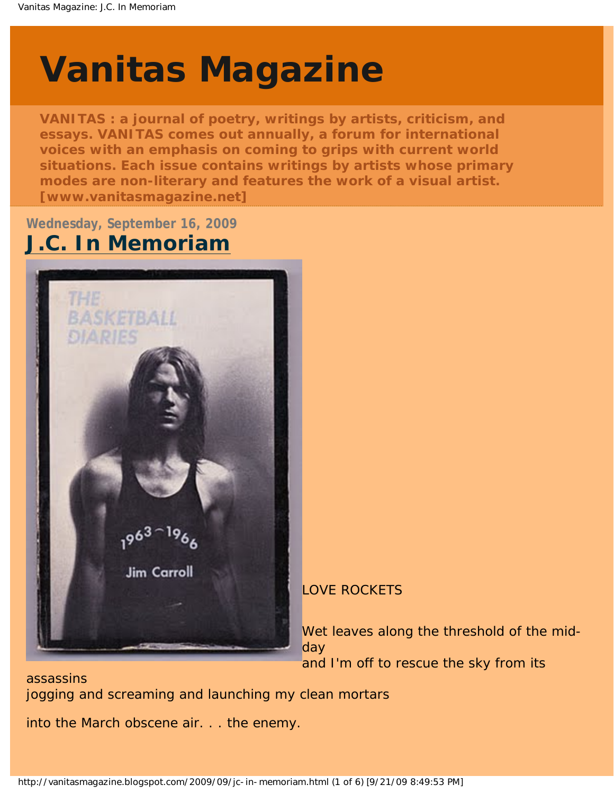# <span id="page-0-0"></span>**[Vanitas Magazine](http://vanitasmagazine.blogspot.com/)**

**VANITAS : a journal of poetry, writings by artists, criticism, and essays. VANITAS comes out annually, a forum for international voices with an emphasis on coming to grips with current world situations. Each issue contains writings by artists whose primary modes are non-literary and features the work of a visual artist. [www.vanitasmagazine.net]**

**Wednesday, September 16, 2009**

# **[J.C. In Memoriam](#page-0-0)**



### LOVE ROCKETS

Wet leaves along the threshold of the midday and I'm off to rescue the sky from its

assassins jogging and screaming and launching my clean mortars

into the March obscene air. . . the enemy.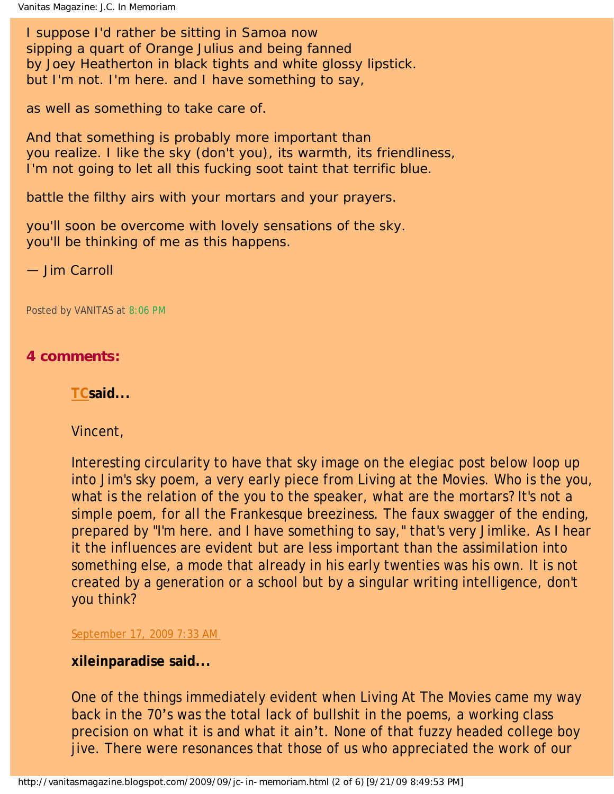I suppose I'd rather be sitting in Samoa now sipping a quart of Orange Julius and being fanned by Joey Heatherton in black tights and white glossy lipstick. but I'm not. I'm here. and I have something to say,

as well as something to take care of.

And that something is probably more important than you realize. I like the sky (don't you), its warmth, its friendliness, I'm not going to let all this fucking soot taint that terrific blue.

battle the filthy airs with your mortars and your prayers.

you'll soon be overcome with lovely sensations of the sky. you'll be thinking of me as this happens.

— Jim Carroll

Posted by VANITAS at [8:06 PM](#page-0-0)

### **4 comments:**

**[TCs](http://www.blogger.com/profile/05915822857461178942)aid...** 

Vincent,

Interesting circularity to have that sky image on the elegiac post below loop up into Jim's sky poem, a very early piece from Living at the Movies. Who is the you, what is the relation of the you to the speaker, what are the mortars? It's not a simple poem, for all the Frankesque breeziness. The faux swagger of the ending, prepared by "I'm here. and I have something to say," that's very Jimlike. As I hear it the influences are evident but are less important than the assimilation into something else, a mode that already in his early twenties was his own. It is not created by a generation or a school but by a singular writing intelligence, don't you think?

[September 17, 2009 7:33 AM](http://vanitasmagazine.blogspot.com/2009/09/jc-in-memoriam.html?showComment=1253198006318#c6582798602333372134) 

### **xileinparadise said...**

One of the things immediately evident when Living At The Movies came my way back in the 70's was the total lack of bullshit in the poems, a working class precision on what it is and what it ain't. None of that fuzzy headed college boy jive. There were resonances that those of us who appreciated the work of our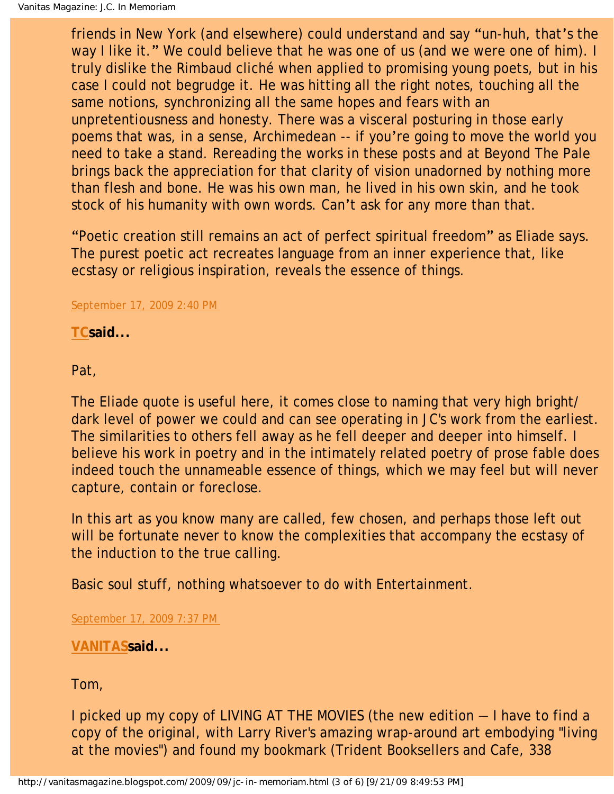friends in New York (and elsewhere) could understand and say "un-huh, that's the way I like it." We could believe that he was one of us (and we were one of him). I truly dislike the Rimbaud cliché when applied to promising young poets, but in his case I could not begrudge it. He was hitting all the right notes, touching all the same notions, synchronizing all the same hopes and fears with an unpretentiousness and honesty. There was a visceral posturing in those early poems that was, in a sense, Archimedean -- if you're going to move the world you need to take a stand. Rereading the works in these posts and at Beyond The Pale brings back the appreciation for that clarity of vision unadorned by nothing more than flesh and bone. He was his own man, he lived in his own skin, and he took stock of his humanity with own words. Can't ask for any more than that.

"Poetic creation still remains an act of perfect spiritual freedom" as Eliade says. The purest poetic act recreates language from an inner experience that, like ecstasy or religious inspiration, reveals the essence of things.

### [September 17, 2009 2:40 PM](http://vanitasmagazine.blogspot.com/2009/09/jc-in-memoriam.html?showComment=1253223610337#c5952895501373306145)

**[TCs](http://www.blogger.com/profile/05915822857461178942)aid...** 

Pat,

The Eliade quote is useful here, it comes close to naming that very high bright/ dark level of power we could and can see operating in JC's work from the earliest. The similarities to others fell away as he fell deeper and deeper into himself. I believe his work in poetry and in the intimately related poetry of prose fable does indeed touch the unnameable essence of things, which we may feel but will never capture, contain or foreclose.

In this art as you know many are called, few chosen, and perhaps those left out will be fortunate never to know the complexities that accompany the ecstasy of the induction to the true calling.

Basic soul stuff, nothing whatsoever to do with Entertainment.

[September 17, 2009 7:37 PM](http://vanitasmagazine.blogspot.com/2009/09/jc-in-memoriam.html?showComment=1253241441355#c1074075155915669494)

**[VANITAS](http://www.blogger.com/profile/10486783210928118377)said...** 

Tom,

I picked up my copy of LIVING AT THE MOVIES (the new edition — I have to find a copy of the original, with Larry River's amazing wrap-around art embodying "living at the movies") and found my bookmark (Trident Booksellers and Cafe, 338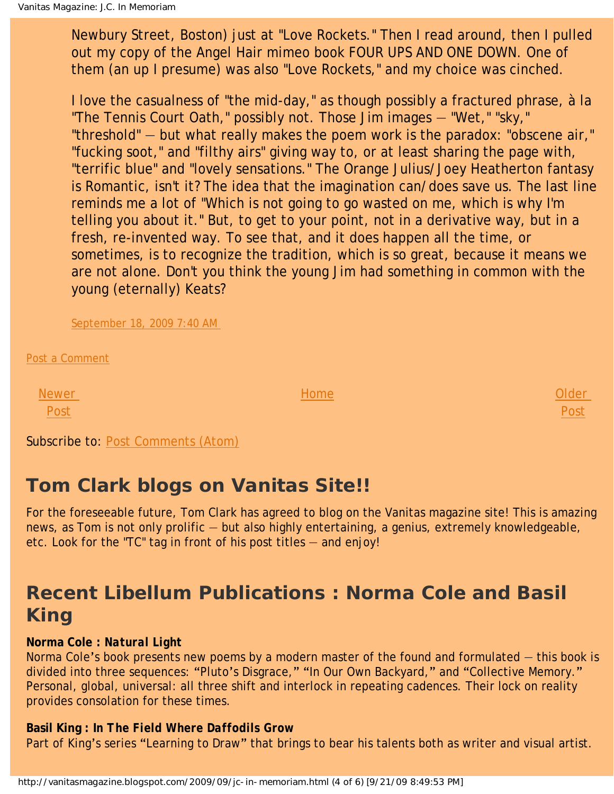Newbury Street, Boston) just at "Love Rockets." Then I read around, then I pulled out my copy of the Angel Hair mimeo book FOUR UPS AND ONE DOWN. One of them (an up I presume) was also "Love Rockets," and my choice was cinched.

I love the casualness of "the mid-day," as though possibly a fractured phrase, à la "The Tennis Court Oath," possibly not. Those Jim images — "Wet," "sky," "threshold" — but what really makes the poem work is the paradox: "obscene air," "fucking soot," and "filthy airs" giving way to, or at least sharing the page with, "terrific blue" and "lovely sensations." The Orange Julius/Joey Heatherton fantasy is Romantic, isn't it? The idea that the imagination can/does save us. The last line reminds me a lot of "Which is not going to go wasted on me, which is why I'm telling you about it." But, to get to your point, not in a derivative way, but in a fresh, re-invented way. To see that, and it does happen all the time, or sometimes, is to recognize the tradition, which is so great, because it means we are not alone. Don't you think the young Jim had something in common with the young (eternally) Keats?

[September 18, 2009 7:40 AM](http://vanitasmagazine.blogspot.com/2009/09/jc-in-memoriam.html?showComment=1253284832451#c1708468517221102229) 

[Post a Comment](https://www.blogger.com/comment.g?blogID=9139185550151027390&postID=1622257559609789409)

[Newer](http://vanitasmagazine.blogspot.com/2009/09/bright-star.html) [Post](http://vanitasmagazine.blogspot.com/2009/09/bright-star.html)

[Home](http://vanitasmagazine.blogspot.com/)

[Older](http://vanitasmagazine.blogspot.com/2009/09/tc-jim-carroll-pax-aeternum.html)  [Post](http://vanitasmagazine.blogspot.com/2009/09/tc-jim-carroll-pax-aeternum.html)

Subscribe to: [Post Comments \(Atom\)](http://vanitasmagazine.blogspot.com/feeds/1622257559609789409/comments/default)

## **Tom Clark blogs on Vanitas Site!!**

For the foreseeable future, Tom Clark has agreed to blog on the Vanitas magazine site! This is amazing news, as Tom is not only prolific — but also highly entertaining, a genius, extremely knowledgeable, etc. Look for the "TC" tag in front of his post titles — and enjoy!

# **Recent Libellum Publications : Norma Cole and Basil King**

### **Norma Cole :** *Natural Light*

Norma Cole's book presents new poems by a modern master of the found and formulated — this book is divided into three sequences: "Pluto's Disgrace," "In Our Own Backyard," and "Collective Memory." Personal, global, universal: all three shift and interlock in repeating cadences. Their lock on reality provides consolation for these times.

### **Basil King :** *In The Field Where Daffodils Grow*

Part of King's series "Learning to Draw" that brings to bear his talents both as writer and visual artist.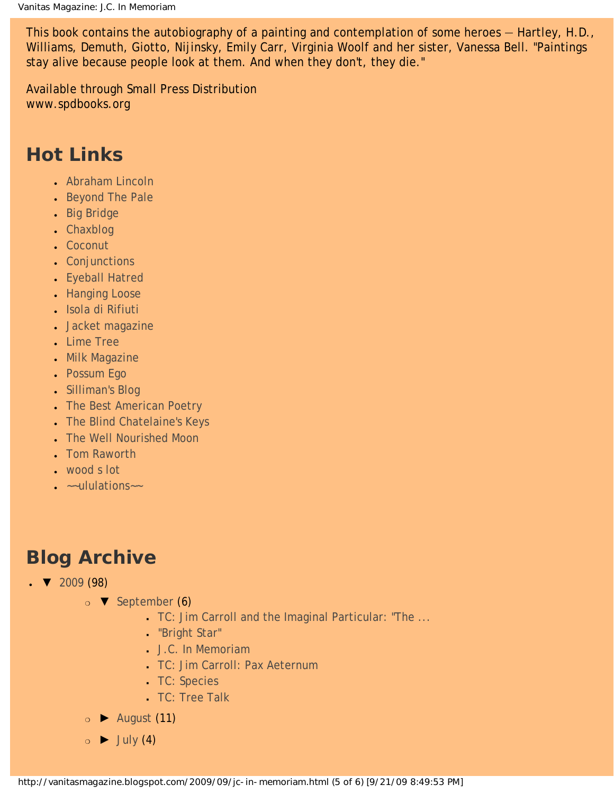This book contains the autobiography of a painting and contemplation of some heroes — Hartley, H.D., Williams, Demuth, Giotto, Nijinsky, Emily Carr, Virginia Woolf and her sister, Vanessa Bell. "Paintings stay alive because people look at them. And when they don't, they die."

Available through Small Press Distribution www.spdbooks.org

# **Hot Links**

- [Abraham Lincoln](http://abrahamlincolnmagazine.blogspot.com/)
- [Beyond The Pale](http://tomclarkblog.blogspot.com/)
- [Big Bridge](http://www.bigbridge.org/index2.htm)
- [Chaxblog](http://chax.org/blog.htm)
- [Coconut](http://www.coconutpoetry.org/)
- [Conjunctions](http://www.conjunctions.com/)
- [Eyeball Hatred](http://claytonbanes.blogspot.com/)
- [Hanging Loose](http://www.hangingloosepress.com/)
- [Isola di Rifiuti](http://isola-di-rifiuti.blogspot.com/)
- [Jacket magazine](http://jacketmagazine.com/00/home.shtml)
- [Lime Tree](http://lime-tree.blogspot.com/)
- [Milk Magazine](http://www.milkmag.org/)
- [Possum Ego](http://possumego.blogspot.com/)
- [Silliman's Blog](http://ronsilliman.blogspot.com/)
- [The Best American Poetry](http://www.bestamericanpoetry.com/)
- [The Blind Chatelaine's Keys](http://angelicpoker.blogspot.com/)
- [The Well Nourished Moon](http://www.stephanieyoung.org/blog/)
- **[Tom Raworth](http://www.tomraworth.com/notes/)**
- [wood s lot](http://web.ncf.ca/ek867/wood_s_lot.html)
- $\bullet$   $\sim$ -ululations $\sim$

# **Blog Archive**

- $\sqrt{2009}$  (98)
	- ❍ [▼](javascript:void(0)) [September](http://vanitasmagazine.blogspot.com/2009_09_01_archive.html) (6)
		- [TC: Jim Carroll and the Imaginal Particular: "The ...](http://vanitasmagazine.blogspot.com/2009/09/tc-jim-carroll-and-imaginal-particular.html)
		- ["Bright Star"](http://vanitasmagazine.blogspot.com/2009/09/bright-star.html)
		- [J.C. In Memoriam](#page-0-0)
		- [TC: Jim Carroll: Pax Aeternum](http://vanitasmagazine.blogspot.com/2009/09/tc-jim-carroll-pax-aeternum.html)
		- [TC: Species](http://vanitasmagazine.blogspot.com/2009/09/tc-species.html)
		- [TC: Tree Talk](http://vanitasmagazine.blogspot.com/2009/09/tc-tree-talk.html)
	- ❍ [►](javascript:void(0)) [August](http://vanitasmagazine.blogspot.com/2009_08_01_archive.html) (11)
	- $\circ$   $\blacktriangleright$  [July](http://vanitasmagazine.blogspot.com/2009_07_01_archive.html) (4)